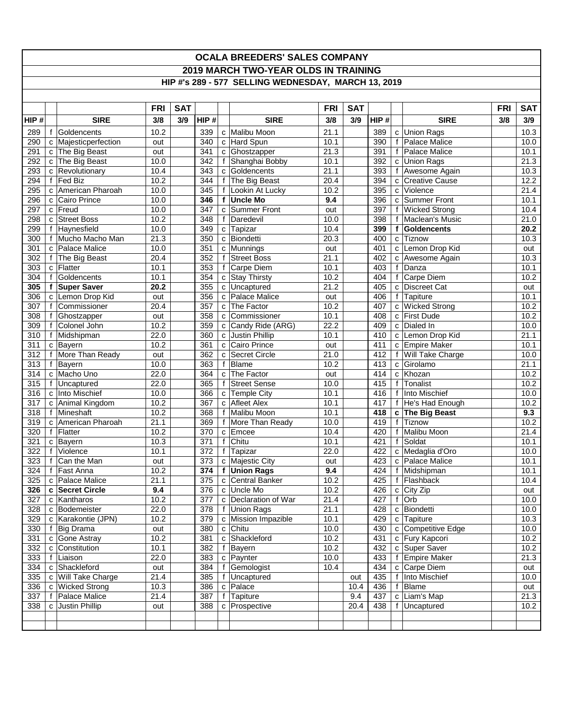## **OCALA BREEDERS' SALES COMPANY 2019 MARCH TWO-YEAR OLDS IN TRAINING HIP #'s 289 - 577 SELLING WEDNESDAY, MARCH 13, 2019**

|      |   |                       | <b>FRI</b> | <b>SAT</b> |                  |              |                      | <b>FRI</b>        | <b>SAT</b> |      |                |                      | <b>FRI</b> | <b>SAT</b>        |
|------|---|-----------------------|------------|------------|------------------|--------------|----------------------|-------------------|------------|------|----------------|----------------------|------------|-------------------|
| HIP# |   | <b>SIRE</b>           | 3/8        | 3/9        | HIP#             |              | <b>SIRE</b>          | 3/8               | 3/9        | HIP# |                | <b>SIRE</b>          | 3/8        | 3/9               |
|      |   |                       |            |            |                  |              |                      |                   |            |      |                |                      |            |                   |
| 289  | f | Goldencents           | 10.2       |            | 339              |              | c Malibu Moon        | 21.1              |            | 389  |                | c Union Rags         |            | 10.3              |
| 290  |   | c Majesticperfection  | out        |            | 340              |              | c Hard Spun          | 10.1              |            | 390  | $\mathsf{f}$   | Palace Malice        |            | 10.0              |
| 291  |   | c The Big Beast       | out        |            | 341              | C            | Ghostzapper          | 21.3              |            | 391  | $\mathbf{f}$   | Palace Malice        |            | 10.1              |
| 292  |   | c The Big Beast       | 10.0       |            | 342              |              | f Shanghai Bobby     | 10.1              |            | 392  |                | c Union Rags         |            | $\overline{2}1.3$ |
| 293  |   | c Revolutionary       | 10.4       |            | 343              | c            | Goldencents          | 21.1              |            | 393  |                | f Awesome Again      |            | 10.3              |
| 294  |   | f Fed Biz             | 10.2       |            | 344              |              | f The Big Beast      | 20.4              |            | 394  |                | c Creative Cause     |            | 12.2              |
| 295  |   | c American Pharoah    | 10.0       |            | 345              | f            | Lookin At Lucky      | 10.2              |            | 395  | C              | Violence             |            | 21.4              |
| 296  |   | c Cairo Prince        | 10.0       |            | 346              |              | f Uncle Mo           | 9.4               |            | 396  |                | c Summer Front       |            | 10.1              |
| 297  |   | $c$ Freud             | 10.0       |            | 347              |              | c Summer Front       | out               |            | 397  | f              | <b>Wicked Strong</b> |            | 10.4              |
| 298  |   | c Street Boss         | 10.2       |            | 348              |              | f Daredevil          | 10.0              |            | 398  | f              | Maclean's Music      |            | 21.0              |
| 299  |   | f Haynesfield         | 10.0       |            | 349              | $\mathbf{C}$ | Tapizar              | 10.4              |            | 399  | f              | Goldencents          |            | 20.2              |
| 300  |   | f Mucho Macho Man     | 21.3       |            | 350              |              | c Biondetti          | $\overline{20.3}$ |            | 400  |                | c Tiznow             |            | 10.3              |
| 301  |   | c Palace Malice       | 10.0       |            | 351              | C            | Munnings             | out               |            | 401  |                | c Lemon Drop Kid     |            | out               |
| 302  |   | f The Big Beast       | 20.4       |            | 352              | f            | <b>Street Boss</b>   | 21.1              |            | 402  |                | c Awesome Again      |            | 10.3              |
| 303  |   | c Flatter             | 10.1       |            | 353              | f            | Carpe Diem           | 10.1              |            | 403  | $\mathsf{f}$   | Danza                |            | 10.1              |
| 304  |   | f Goldencents         | 10.1       |            | 354              | C            | <b>Stay Thirsty</b>  | $10.\overline{2}$ |            | 404  | f              | Carpe Diem           |            | 10.2              |
| 305  |   | f Super Saver         | 20.2       |            | 355              |              | c Uncaptured         | 21.2              |            | 405  |                | c Discreet Cat       |            | out               |
| 306  |   | c Lemon Drop Kid      | out        |            | 356              |              | c Palace Malice      | out               |            | 406  |                | f Tapiture           |            | 10.1              |
| 307  |   | f Commissioner        | 20.4       |            | 357              | C.           | The Factor           | 10.2              |            | 407  |                | c Wicked Strong      |            | 10.2              |
| 308  |   | f Ghostzapper         | out        |            | 358              |              | c Commissioner       | 10.1              |            | 408  |                | c First Dude         |            | 10.2              |
| 309  |   | f Colonel John        | 10.2       |            | 359              |              | c Candy Ride (ARG)   | 22.2              |            | 409  |                | c Dialed In          |            | 10.0              |
| 310  |   | f Midshipman          | 22.0       |            | 360              |              | c Justin Phillip     | 10.1              |            | 410  |                | c Lemon Drop Kid     |            | 21.1              |
| 311  |   | c Bayern              | 10.2       |            | 361              |              | c Cairo Prince       | out               |            | 411  |                | c Empire Maker       |            | 10.1              |
| 312  |   | f More Than Ready     | out        |            | 362              | C.           | Secret Circle        | 21.0              |            | 412  |                | f Will Take Charge   |            | 10.0              |
| 313  |   | f Bayern              | 10.0       |            | 363              |              | f Blame              | 10.2              |            | 413  |                | c Girolamo           |            | 21.1              |
| 314  |   | c Macho Uno           | 22.0       |            | 364              | c            | The Factor           | out               |            | 414  |                | c Khozan             |            | 10.2              |
| 315  |   | f Uncaptured          | 22.0       |            | 365              | f            | Street Sense         | 10.0              |            | 415  | f              | Tonalist             |            | 10.2              |
| 316  |   | c Into Mischief       | 10.0       |            | 366              | c            | Temple City          | 10.1              |            | 416  | f              | Into Mischief        |            | 10.0              |
| 317  |   | c Animal Kingdom      | 10.2       |            | 367              |              | c Afleet Alex        | 10.1              |            | 417  |                | f   He's Had Enough  |            | 10.2              |
| 318  |   | f Mineshaft           | 10.2       |            | 368              |              | f Malibu Moon        | 10.1              |            | 418  |                | c The Big Beast      |            | 9.3               |
| 319  |   | c American Pharoah    | 21.1       |            | 369              |              | f More Than Ready    | 10.0              |            | 419  | f              | <b>Tiznow</b>        |            | 10.2              |
| 320  |   | f Flatter             | 10.2       |            | 370              |              | c Emcee              | 10.4              |            | 420  | f              | <b>Malibu Moon</b>   |            | 21.4              |
| 321  |   | $\overline{c}$ Bayern | 10.3       |            | 371              |              | f Chitu              | 10.1              |            | 421  | f              | Soldat               |            | 10.1              |
| 322  |   | f Violence            | 10.1       |            | 372              |              | f Tapizar            | 22.0              |            | 422  |                | c Medaglia d'Oro     |            | 10.0              |
| 323  |   | f Can the Man         | out        |            | $\overline{373}$ |              | c Majestic City      | out               |            | 423  |                | c Palace Malice      |            | 10.1              |
| 324  |   | f   Fast Anna         | 10.2       |            | 374              |              | f Union Rags         | 9.4               |            | 424  |                | f Midshipman         |            | 10.1              |
| 325  |   | c   Palace Malice     | 21.1       |            | 375              |              | c Central Banker     | 10.2              |            | 425  |                | f Flashback          |            | 10.4              |
| 326  |   | c Secret Circle       | 9.4        |            | 376              | c            | Uncle Mo             | 10.2              |            | 426  | $\overline{c}$ | City Zip             |            | out               |
| 327  |   | c Kantharos           | 10.2       |            | 377              |              | c Declaration of War | 21.4              |            | 427  | f              | Orb                  |            | 10.0              |
| 328  |   | c Bodemeister         | 22.0       |            | 378              |              | f Union Rags         | 21.1              |            | 428  |                | c Biondetti          |            | 10.0              |
| 329  |   | c Karakontie (JPN)    | 10.2       |            | 379              |              | c Mission Impazible  | 10.1              |            | 429  |                | c Tapiture           |            | 10.3              |
| 330  |   | f Big Drama           | out        |            | 380              |              | c Chitu              | 10.0              |            | 430  |                | c Competitive Edge   |            | 10.0              |
| 331  |   | c Gone Astray         | 10.2       |            | 381              |              | c Shackleford        | 10.2              |            | 431  |                | c Fury Kapcori       |            | 10.2              |
| 332  |   | c Constitution        | 10.1       |            | 382              |              | f Bayern             | 10.2              |            | 432  |                | c Super Saver        |            | 10.2              |
| 333  |   | f Liaison             | 22.0       |            | 383              |              | c Paynter            | 10.0              |            | 433  |                | f Empire Maker       |            | 21.3              |
| 334  |   | c Shackleford         | out        |            | 384              |              | f Gemologist         | 10.4              |            | 434  |                | c Carpe Diem         |            | out               |
| 335  |   | c Will Take Charge    | 21.4       |            | 385              |              | f Uncaptured         |                   | out        | 435  |                | f   Into Mischief    |            | 10.0              |
| 336  |   | c Wicked Strong       | 10.3       |            | 386              |              | c Palace             |                   | 10.4       | 436  | f              | Blame                |            | out               |
| 337  |   | f Palace Malice       | 21.4       |            | 387              |              | f Tapiture           |                   | 9.4        | 437  |                | c Liam's Map         |            | 21.3              |
| 338  |   | c Justin Phillip      | out        |            | 388              |              | c Prospective        |                   | 20.4       | 438  |                | f Uncaptured         |            | 10.2              |
|      |   |                       |            |            |                  |              |                      |                   |            |      |                |                      |            |                   |
|      |   |                       |            |            |                  |              |                      |                   |            |      |                |                      |            |                   |